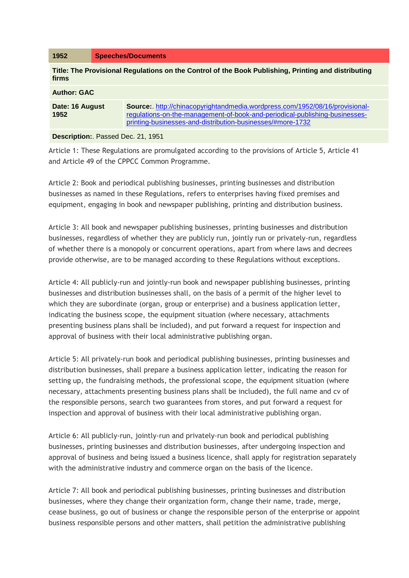| 1952                                                                                                         | <b>Speeches/Documents</b>                                                                                                                                                                                                       |
|--------------------------------------------------------------------------------------------------------------|---------------------------------------------------------------------------------------------------------------------------------------------------------------------------------------------------------------------------------|
| Title: The Provisional Regulations on the Control of the Book Publishing, Printing and distributing<br>firms |                                                                                                                                                                                                                                 |
| <b>Author: GAC</b>                                                                                           |                                                                                                                                                                                                                                 |
| Date: 16 August<br>1952                                                                                      | <b>Source:</b> http://chinacopyrightandmedia.wordpress.com/1952/08/16/provisional-<br>regulations-on-the-management-of-book-and-periodical-publishing-businesses-<br>printing-businesses-and-distribution-businesses/#more-1732 |
| <b>Description:.</b> Passed Dec. 21, 1951                                                                    |                                                                                                                                                                                                                                 |

Article 1: These Regulations are promulgated according to the provisions of Article 5, Article 41 and Article 49 of the CPPCC Common Programme.

Article 2: Book and periodical publishing businesses, printing businesses and distribution businesses as named in these Regulations, refers to enterprises having fixed premises and equipment, engaging in book and newspaper publishing, printing and distribution business.

Article 3: All book and newspaper publishing businesses, printing businesses and distribution businesses, regardless of whether they are publicly run, jointly run or privately-run, regardless of whether there is a monopoly or concurrent operations, apart from where laws and decrees provide otherwise, are to be managed according to these Regulations without exceptions.

Article 4: All publicly-run and jointly-run book and newspaper publishing businesses, printing businesses and distribution businesses shall, on the basis of a permit of the higher level to which they are subordinate (organ, group or enterprise) and a business application letter, indicating the business scope, the equipment situation (where necessary, attachments presenting business plans shall be included), and put forward a request for inspection and approval of business with their local administrative publishing organ.

Article 5: All privately-run book and periodical publishing businesses, printing businesses and distribution businesses, shall prepare a business application letter, indicating the reason for setting up, the fundraising methods, the professional scope, the equipment situation (where necessary, attachments presenting business plans shall be included), the full name and cv of the responsible persons, search two guarantees from stores, and put forward a request for inspection and approval of business with their local administrative publishing organ.

Article 6: All publicly-run, jointly-run and privately-run book and periodical publishing businesses, printing businesses and distribution businesses, after undergoing inspection and approval of business and being issued a business licence, shall apply for registration separately with the administrative industry and commerce organ on the basis of the licence.

Article 7: All book and periodical publishing businesses, printing businesses and distribution businesses, where they change their organization form, change their name, trade, merge, cease business, go out of business or change the responsible person of the enterprise or appoint business responsible persons and other matters, shall petition the administrative publishing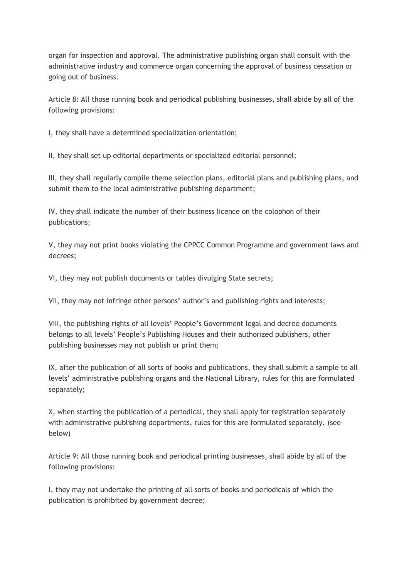organ for inspection and approval. The administrative publishing organ shall consult with the administrative industry and commerce organ concerning the approval of business cessation or going out of business.

Article 8: All those running book and periodical publishing businesses, shall abide by all of the following provisions:

I, they shall have a determined specialization orientation;

II, they shall set up editorial departments or specialized editorial personnel;

III, they shall regularly compile theme selection plans, editorial plans and publishing plans, and submit them to the local administrative publishing department;

IV, they shall indicate the number of their business licence on the colophon of their publications;

V, they may not print books violating the CPPCC Common Programme and government laws and decrees;

VI, they may not publish documents or tables divulging State secrets;

VII, they may not infringe other persons' author's and publishing rights and interests;

VIII, the publishing rights of all levels' People's Government legal and decree documents belongs to all levels' People's Publishing Houses and their authorized publishers, other publishing businesses may not publish or print them;

IX, after the publication of all sorts of books and publications, they shall submit a sample to all levels' administrative publishing organs and the National Library, rules for this are formulated separately;

X, when starting the publication of a periodical, they shall apply for registration separately with administrative publishing departments, rules for this are formulated separately. (see below)

Article 9: All those running book and periodical printing businesses, shall abide by all of the following provisions:

I, they may not undertake the printing of all sorts of books and periodicals of which the publication is prohibited by government decree;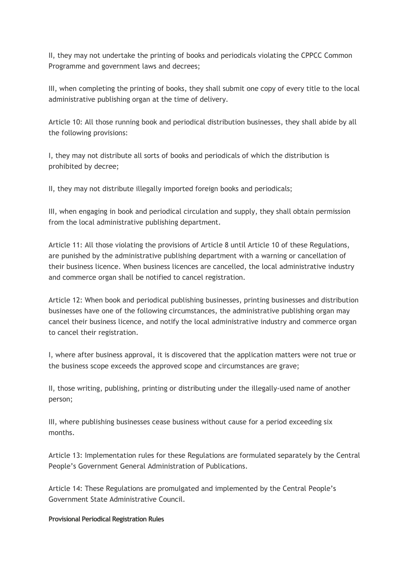II, they may not undertake the printing of books and periodicals violating the CPPCC Common Programme and government laws and decrees;

III, when completing the printing of books, they shall submit one copy of every title to the local administrative publishing organ at the time of delivery.

Article 10: All those running book and periodical distribution businesses, they shall abide by all the following provisions:

I, they may not distribute all sorts of books and periodicals of which the distribution is prohibited by decree;

II, they may not distribute illegally imported foreign books and periodicals;

III, when engaging in book and periodical circulation and supply, they shall obtain permission from the local administrative publishing department.

Article 11: All those violating the provisions of Article 8 until Article 10 of these Regulations, are punished by the administrative publishing department with a warning or cancellation of their business licence. When business licences are cancelled, the local administrative industry and commerce organ shall be notified to cancel registration.

Article 12: When book and periodical publishing businesses, printing businesses and distribution businesses have one of the following circumstances, the administrative publishing organ may cancel their business licence, and notify the local administrative industry and commerce organ to cancel their registration.

I, where after business approval, it is discovered that the application matters were not true or the business scope exceeds the approved scope and circumstances are grave;

II, those writing, publishing, printing or distributing under the illegally-used name of another person;

III, where publishing businesses cease business without cause for a period exceeding six months.

Article 13: Implementation rules for these Regulations are formulated separately by the Central People's Government General Administration of Publications.

Article 14: These Regulations are promulgated and implemented by the Central People's Government State Administrative Council.

**Provisional Periodical Registration Rules**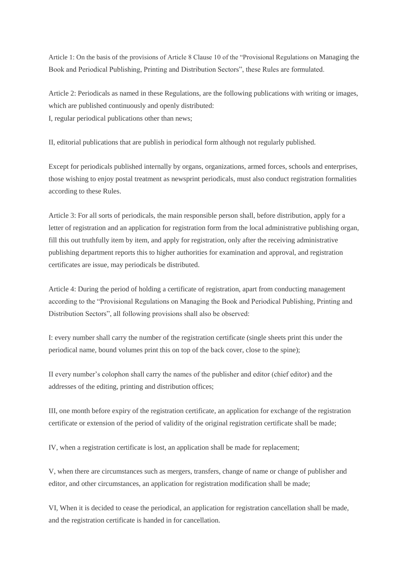Article 1: On the basis of the provisions of Article 8 Clause 10 of the "Provisional Regulations on Managing the Book and Periodical Publishing, Printing and Distribution Sectors", these Rules are formulated.

Article 2: Periodicals as named in these Regulations, are the following publications with writing or images, which are published continuously and openly distributed: I, regular periodical publications other than news;

II, editorial publications that are publish in periodical form although not regularly published.

Except for periodicals published internally by organs, organizations, armed forces, schools and enterprises, those wishing to enjoy postal treatment as newsprint periodicals, must also conduct registration formalities according to these Rules.

Article 3: For all sorts of periodicals, the main responsible person shall, before distribution, apply for a letter of registration and an application for registration form from the local administrative publishing organ, fill this out truthfully item by item, and apply for registration, only after the receiving administrative publishing department reports this to higher authorities for examination and approval, and registration certificates are issue, may periodicals be distributed.

Article 4: During the period of holding a certificate of registration, apart from conducting management according to the "Provisional Regulations on Managing the Book and Periodical Publishing, Printing and Distribution Sectors", all following provisions shall also be observed:

I: every number shall carry the number of the registration certificate (single sheets print this under the periodical name, bound volumes print this on top of the back cover, close to the spine);

II every number's colophon shall carry the names of the publisher and editor (chief editor) and the addresses of the editing, printing and distribution offices;

III, one month before expiry of the registration certificate, an application for exchange of the registration certificate or extension of the period of validity of the original registration certificate shall be made;

IV, when a registration certificate is lost, an application shall be made for replacement;

V, when there are circumstances such as mergers, transfers, change of name or change of publisher and editor, and other circumstances, an application for registration modification shall be made;

VI, When it is decided to cease the periodical, an application for registration cancellation shall be made, and the registration certificate is handed in for cancellation.